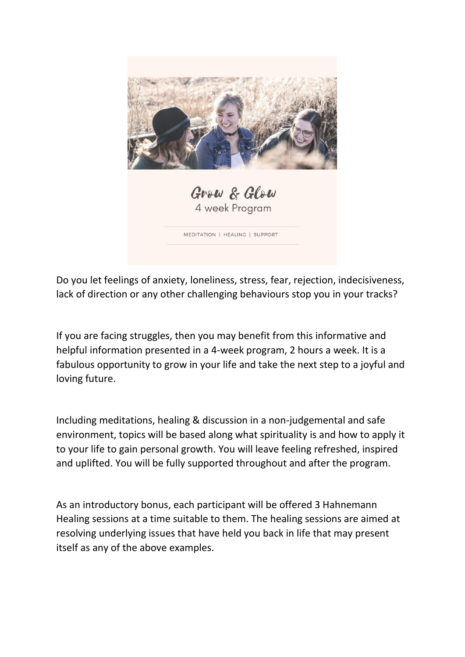

Do you let feelings of anxiety, loneliness, stress, fear, rejection, indecisiveness, lack of direction or any other challenging behaviours stop you in your tracks?

If you are facing struggles, then you may benefit from this informative and helpful information presented in a 4-week program, 2 hours a week. It is a fabulous opportunity to grow in your life and take the next step to a joyful and loving future.

Including meditations, healing & discussion in a non-judgemental and safe environment, topics will be based along what spirituality is and how to apply it to your life to gain personal growth. You will leave feeling refreshed, inspired and uplifted. You will be fully supported throughout and after the program.

As an introductory bonus, each participant will be offered 3 Hahnemann Healing sessions at a time suitable to them. The healing sessions are aimed at resolving underlying issues that have held you back in life that may present itself as any of the above examples.